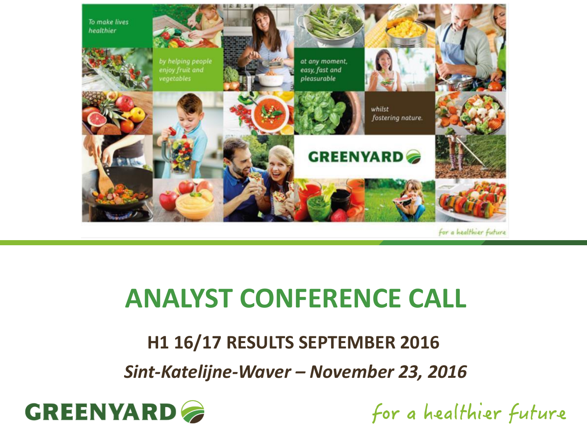

## **ANALYST CONFERENCE CALL**

#### **H1 16/17 RESULTS SEPTEMBER 2016**

*Sint-Katelijne-Waver – November 23, 2016*



for a healthier future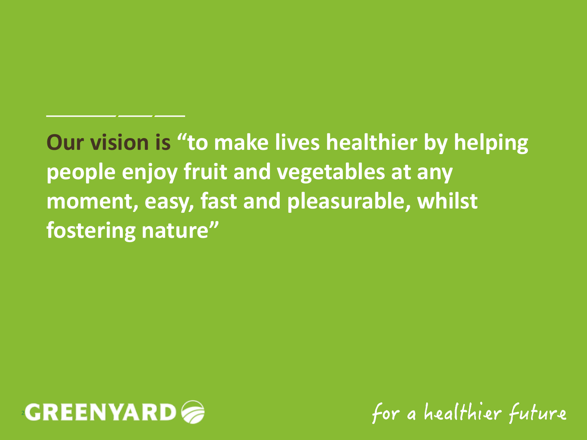## **Our vision is "to make lives healthier by helping people enjoy fruit and vegetables at any moment, easy, fast and pleasurable, whilst fostering nature"**



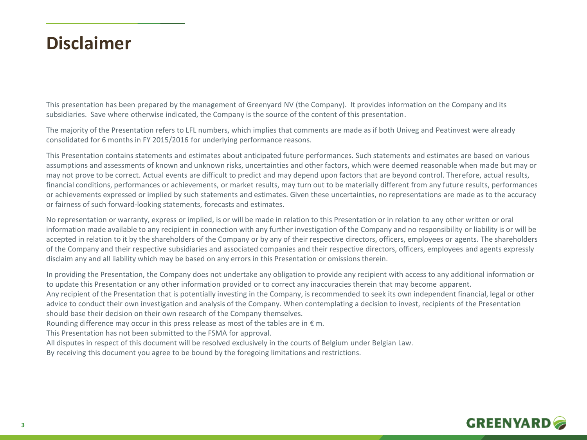#### **Disclaimer**

This presentation has been prepared by the management of Greenyard NV (the Company). It provides information on the Company and its subsidiaries. Save where otherwise indicated, the Company is the source of the content of this presentation.

The majority of the Presentation refers to LFL numbers, which implies that comments are made as if both Univeg and Peatinvest were already consolidated for 6 months in FY 2015/2016 for underlying performance reasons.

This Presentation contains statements and estimates about anticipated future performances. Such statements and estimates are based on various assumptions and assessments of known and unknown risks, uncertainties and other factors, which were deemed reasonable when made but may or may not prove to be correct. Actual events are difficult to predict and may depend upon factors that are beyond control. Therefore, actual results, financial conditions, performances or achievements, or market results, may turn out to be materially different from any future results, performances or achievements expressed or implied by such statements and estimates. Given these uncertainties, no representations are made as to the accuracy or fairness of such forward-looking statements, forecasts and estimates.

No representation or warranty, express or implied, is or will be made in relation to this Presentation or in relation to any other written or oral information made available to any recipient in connection with any further investigation of the Company and no responsibility or liability is or will be accepted in relation to it by the shareholders of the Company or by any of their respective directors, officers, employees or agents. The shareholders of the Company and their respective subsidiaries and associated companies and their respective directors, officers, employees and agents expressly disclaim any and all liability which may be based on any errors in this Presentation or omissions therein.

In providing the Presentation, the Company does not undertake any obligation to provide any recipient with access to any additional information or to update this Presentation or any other information provided or to correct any inaccuracies therein that may become apparent. Any recipient of the Presentation that is potentially investing in the Company, is recommended to seek its own independent financial, legal or other advice to conduct their own investigation and analysis of the Company. When contemplating a decision to invest, recipients of the Presentation should base their decision on their own research of the Company themselves.

Rounding difference may occur in this press release as most of the tables are in  $\epsilon$  m.

This Presentation has not been submitted to the FSMA for approval.

All disputes in respect of this document will be resolved exclusively in the courts of Belgium under Belgian Law.

By receiving this document you agree to be bound by the foregoing limitations and restrictions.

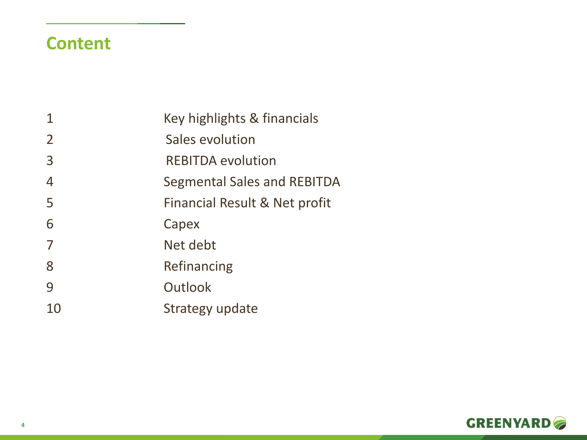#### **Content**

|                | Key highlights & financials        |
|----------------|------------------------------------|
| $\overline{2}$ | Sales evolution                    |
| $\overline{3}$ | <b>REBITDA evolution</b>           |
| $\overline{4}$ | <b>Segmental Sales and REBITDA</b> |
| 5              | Financial Result & Net profit      |
| 6              | Capex                              |
| 7              | Net debt                           |
| 8              | Refinancing                        |
| 9              | Outlook                            |
| 10             | Strategy update                    |

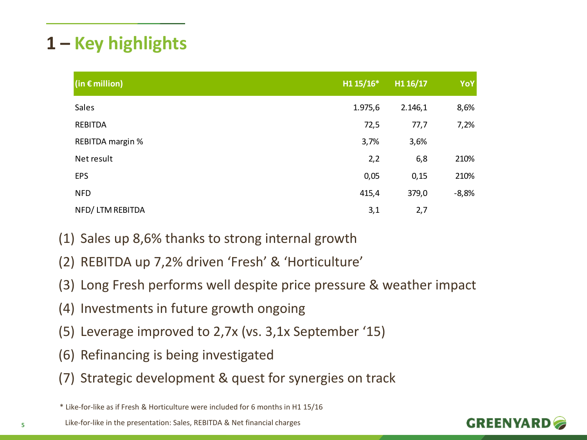#### **1 – Key highlights**

| $\left  \text{(in } \in \mathbb{m} \text{,} \mathbb{N} \right  \right $ | H1 15/16* | H1 16/17 | YoY     |
|-------------------------------------------------------------------------|-----------|----------|---------|
| Sales                                                                   | 1.975,6   | 2.146,1  | 8,6%    |
| <b>REBITDA</b>                                                          | 72,5      | 77,7     | 7,2%    |
| <b>REBITDA margin %</b>                                                 | 3,7%      | 3,6%     |         |
| Net result                                                              | 2,2       | 6,8      | 210%    |
| <b>EPS</b>                                                              | 0,05      | 0,15     | 210%    |
| <b>NFD</b>                                                              | 415,4     | 379,0    | $-8,8%$ |
| NFD/LTM REBITDA                                                         | 3,1       | 2,7      |         |

- (1) Sales up 8,6% thanks to strong internal growth
- (2) REBITDA up 7,2% driven 'Fresh' & 'Horticulture'
- (3) Long Fresh performs well despite price pressure & weather impact
- (4) Investments in future growth ongoing
- (5) Leverage improved to 2,7x (vs. 3,1x September '15)
- (6) Refinancing is being investigated
- (7) Strategic development & quest for synergies on track

\* Like-for-like as if Fresh & Horticulture were included for 6 months in H1 15/16

Like-for-like in the presentation: Sales, REBITDA & Net financial charges **<sup>5</sup>**

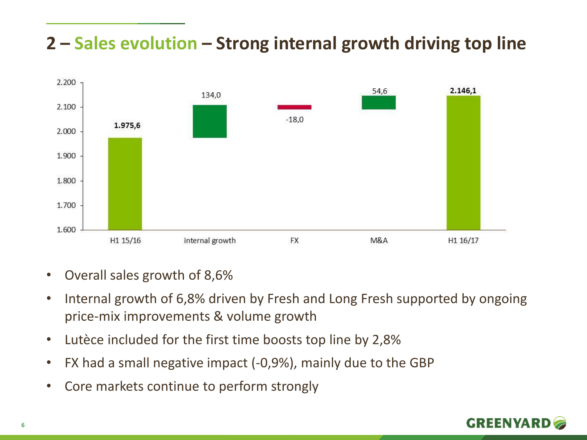#### **2 – Sales evolution – Strong internal growth driving top line**



- Overall sales growth of 8,6%
- Internal growth of 6,8% driven by Fresh and Long Fresh supported by ongoing price-mix improvements & volume growth
- Lutèce included for the first time boosts top line by 2,8%
- FX had a small negative impact (-0,9%), mainly due to the GBP
- Core markets continue to perform strongly

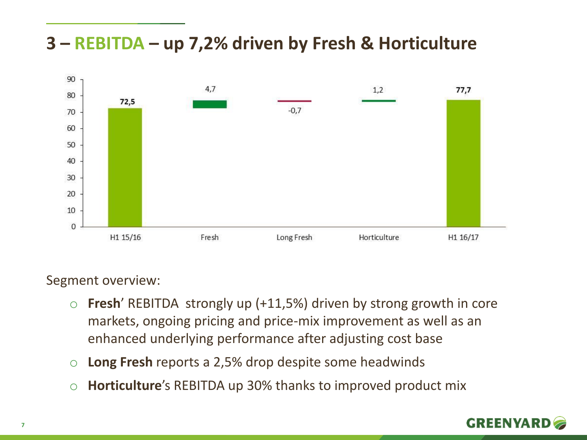#### **3 – REBITDA – up 7,2% driven by Fresh & Horticulture**



Segment overview:

- o **Fresh**' REBITDA strongly up (+11,5%) driven by strong growth in core markets, ongoing pricing and price-mix improvement as well as an enhanced underlying performance after adjusting cost base
- o **Long Fresh** reports a 2,5% drop despite some headwinds
- o **Horticulture**'s REBITDA up 30% thanks to improved product mix

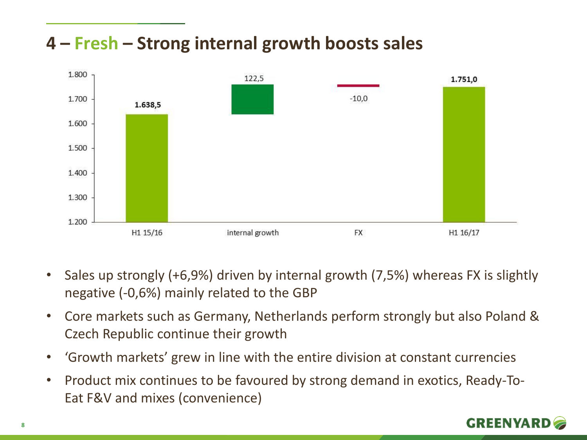#### **4 – Fresh – Strong internal growth boosts sales**



- Sales up strongly (+6,9%) driven by internal growth (7,5%) whereas FX is slightly negative (-0,6%) mainly related to the GBP
- Core markets such as Germany, Netherlands perform strongly but also Poland & Czech Republic continue their growth
- 'Growth markets' grew in line with the entire division at constant currencies
- Product mix continues to be favoured by strong demand in exotics, Ready-To-Eat F&V and mixes (convenience)

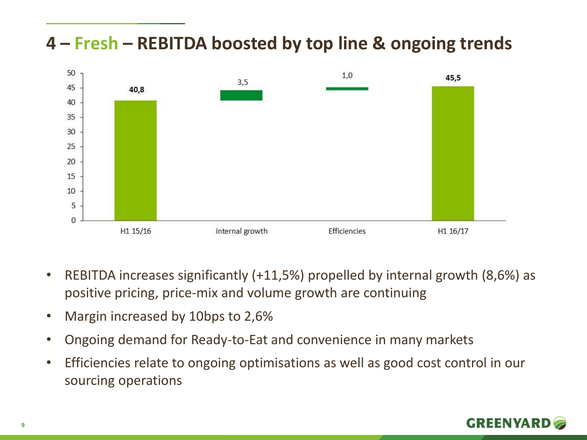#### **4 – Fresh – REBITDA boosted by top line & ongoing trends**



- REBITDA increases significantly (+11,5%) propelled by internal growth (8,6%) as positive pricing, price-mix and volume growth are continuing
- Margin increased by 10bps to 2,6%
- Ongoing demand for Ready-to-Eat and convenience in many markets
- Efficiencies relate to ongoing optimisations as well as good cost control in our sourcing operations

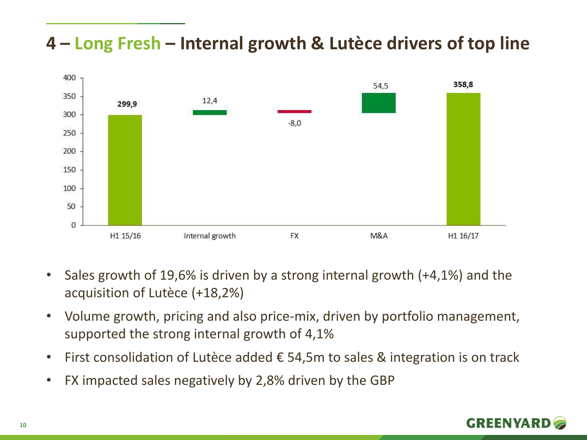#### **4 – Long Fresh – Internal growth & Lutèce drivers of top line**



- Sales growth of 19,6% is driven by a strong internal growth (+4,1%) and the acquisition of Lutèce (+18,2%)
- Volume growth, pricing and also price-mix, driven by portfolio management, supported the strong internal growth of 4,1%
- First consolidation of Lutèce added  $\epsilon$  54,5m to sales & integration is on track
- FX impacted sales negatively by 2,8% driven by the GBP

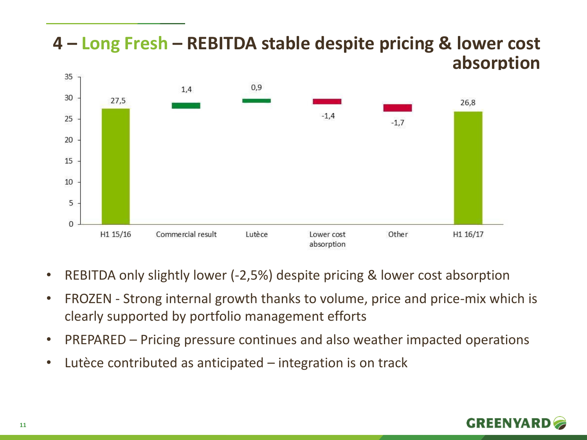#### **4 – Long Fresh – REBITDA stable despite pricing & lower cost absorption**35  $0,9$  $1,4$ 30 27.5 26.8  $-1.4$ 25  $-1.7$ 20 15

• REBITDA only slightly lower (-2,5%) despite pricing & lower cost absorption

Lutèce

• FROZEN - Strong internal growth thanks to volume, price and price-mix which is clearly supported by portfolio management efforts

Lower cost

absorption

Other

H1 16/17

- PREPARED Pricing pressure continues and also weather impacted operations
- Lutèce contributed as anticipated integration is on track

Commercial result



10

5

 $\mathbf{O}$ 

H1 15/16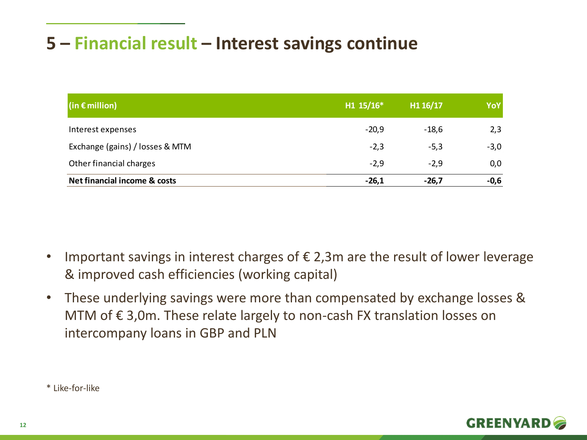#### **5 – Financial result – Interest savings continue**

| $(in \in$ million)              | $H1 15/16*$ | H1 16/17 | YoY    |
|---------------------------------|-------------|----------|--------|
| Interest expenses               | $-20,9$     | $-18,6$  | 2,3    |
| Exchange (gains) / losses & MTM | $-2,3$      | $-5,3$   | $-3,0$ |
| Other financial charges         | $-2,9$      | $-2,9$   | 0,0    |
| Net financial income & costs    | $-26,1$     | $-26.7$  | $-0,6$ |

- Important savings in interest charges of  $\epsilon$  2,3m are the result of lower leverage & improved cash efficiencies (working capital)
- These underlying savings were more than compensated by exchange losses & MTM of € 3,0m. These relate largely to non-cash FX translation losses on intercompany loans in GBP and PLN

\* Like-for-like

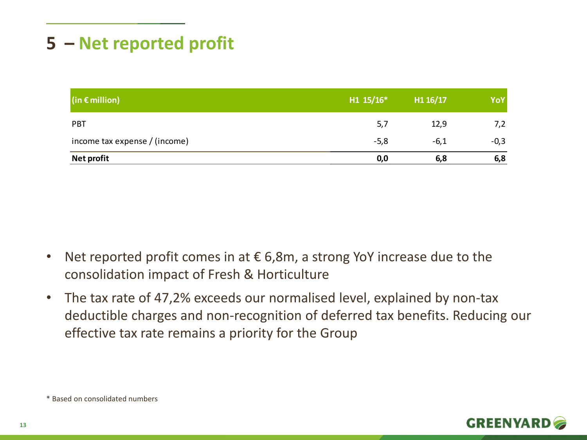#### **5 – Net reported profit**

| $(in \in$ million)            | $H1 15/16*$ | H1 16/17 | YoY    |
|-------------------------------|-------------|----------|--------|
| <b>PBT</b>                    | 5,7         | 12,9     | 7,2    |
| income tax expense / (income) | $-5,8$      | $-6,1$   | $-0,3$ |
| Net profit                    | 0,0         | 6,8      | 6,8    |

- Net reported profit comes in at  $\epsilon$  6,8m, a strong YoY increase due to the consolidation impact of Fresh & Horticulture
- The tax rate of 47,2% exceeds our normalised level, explained by non-tax deductible charges and non-recognition of deferred tax benefits. Reducing our effective tax rate remains a priority for the Group

\* Based on consolidated numbers

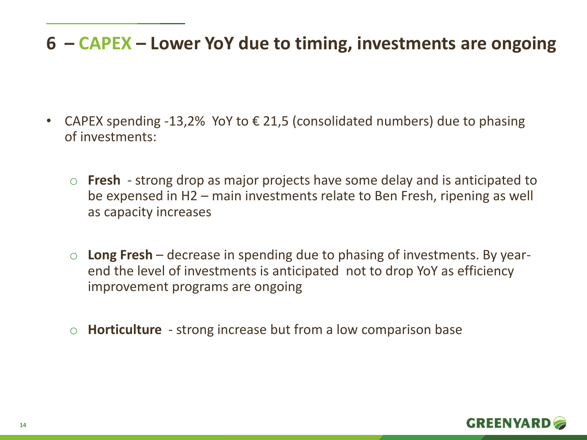#### **6 – CAPEX – Lower YoY due to timing, investments are ongoing**

- CAPEX spending -13,2% YoY to € 21,5 (consolidated numbers) due to phasing of investments:
	- o **Fresh**  strong drop as major projects have some delay and is anticipated to be expensed in H2 – main investments relate to Ben Fresh, ripening as well as capacity increases
	- o **Long Fresh**  decrease in spending due to phasing of investments. By yearend the level of investments is anticipated not to drop YoY as efficiency improvement programs are ongoing
	- o **Horticulture** strong increase but from a low comparison base

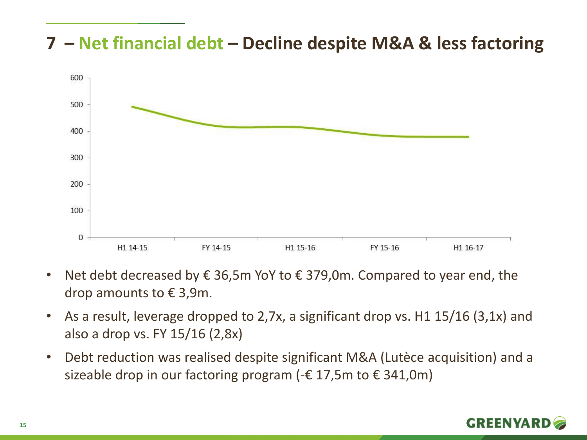#### **7 – Net financial debt – Decline despite M&A & less factoring**



- Net debt decreased by  $\epsilon$  36,5m YoY to  $\epsilon$  379,0m. Compared to year end, the drop amounts to  $\epsilon$  3,9m.
- As a result, leverage dropped to 2,7x, a significant drop vs. H1 15/16 (3,1x) and also a drop vs. FY 15/16 (2,8x)
- Debt reduction was realised despite significant M&A (Lutèce acquisition) and a sizeable drop in our factoring program ( $-\epsilon$  17,5m to  $\epsilon$  341,0m)

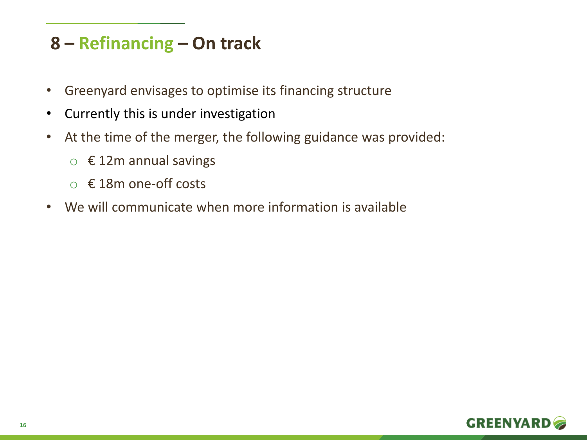#### **8 – Refinancing – On track**

- Greenyard envisages to optimise its financing structure
- Currently this is under investigation
- At the time of the merger, the following guidance was provided:
	- $\circ$  € 12m annual savings
	- o € 18m one-off costs
- We will communicate when more information is available

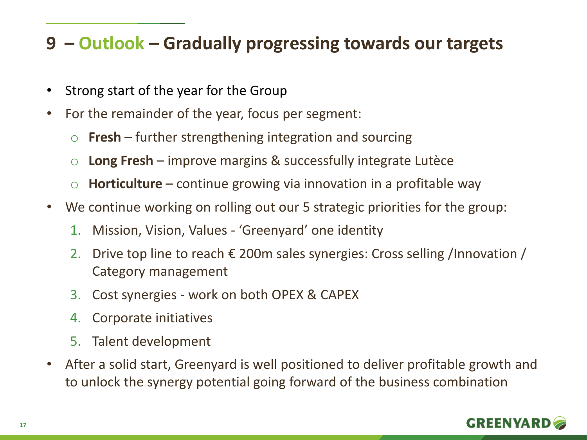#### **9 – Outlook – Gradually progressing towards our targets**

- Strong start of the year for the Group
- For the remainder of the year, focus per segment:
	- o **Fresh** further strengthening integration and sourcing
	- o **Long Fresh**  improve margins & successfully integrate Lutèce
	- o **Horticulture** continue growing via innovation in a profitable way
- We continue working on rolling out our 5 strategic priorities for the group:
	- 1. Mission, Vision, Values 'Greenyard' one identity
	- 2. Drive top line to reach  $\epsilon$  200m sales synergies: Cross selling /Innovation / Category management
	- 3. Cost synergies work on both OPEX & CAPEX
	- 4. Corporate initiatives
	- 5. Talent development
- After a solid start, Greenyard is well positioned to deliver profitable growth and to unlock the synergy potential going forward of the business combination

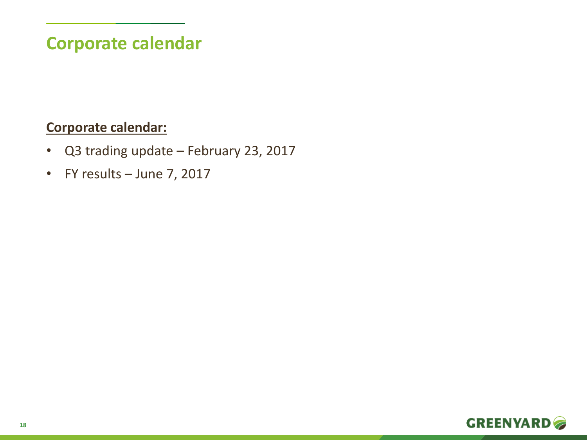#### **Corporate calendar**

#### **Corporate calendar:**

- Q3 trading update February 23, 2017
- FY results June 7, 2017

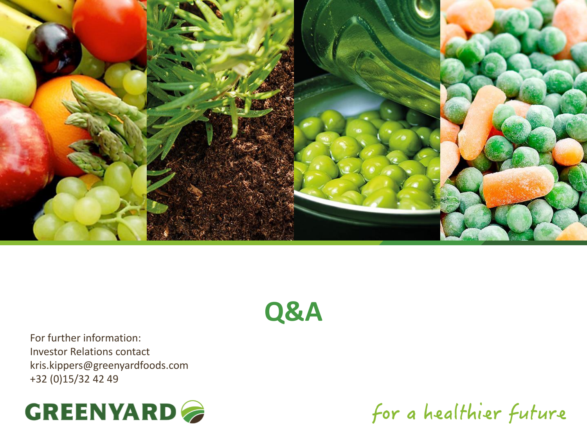

### **Q&A**

For further information: Investor Relations contact kris.kippers@greenyardfoods.com +32 (0)15/32 42 49



for a healthier future